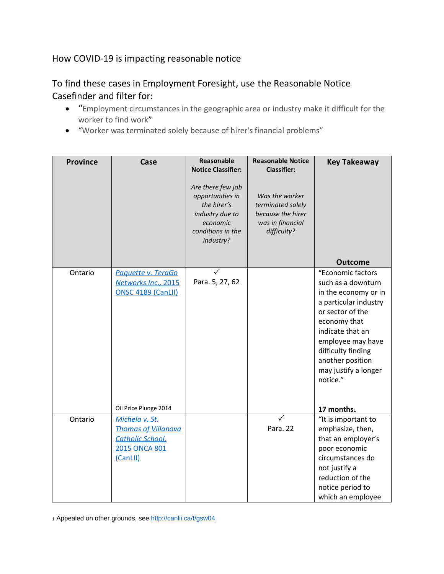## How COVID-19 is impacting reasonable notice

## To find these cases in Employment Foresight, use the Reasonable Notice Casefinder and filter for:

- "Employment circumstances in the geographic area or industry make it difficult for the worker to find work"
- "Worker was terminated solely because of hirer's financial problems"

| <b>Province</b> | Case                                                                                                 | Reasonable                                                                                                            | <b>Reasonable Notice</b>                                                                    | <b>Key Takeaway</b>                                                                                                                                                                                                                                 |
|-----------------|------------------------------------------------------------------------------------------------------|-----------------------------------------------------------------------------------------------------------------------|---------------------------------------------------------------------------------------------|-----------------------------------------------------------------------------------------------------------------------------------------------------------------------------------------------------------------------------------------------------|
|                 |                                                                                                      | <b>Notice Classifier:</b>                                                                                             | <b>Classifier:</b>                                                                          |                                                                                                                                                                                                                                                     |
|                 |                                                                                                      | Are there few job<br>opportunities in<br>the hirer's<br>industry due to<br>economic<br>conditions in the<br>industry? | Was the worker<br>terminated solely<br>because the hirer<br>was in financial<br>difficulty? |                                                                                                                                                                                                                                                     |
|                 |                                                                                                      |                                                                                                                       |                                                                                             | <b>Outcome</b>                                                                                                                                                                                                                                      |
| Ontario         | Paquette v. TeraGo<br>Networks Inc., 2015<br>ONSC 4189 (CanLII)                                      | Para. 5, 27, 62                                                                                                       |                                                                                             | "Economic factors<br>such as a downturn<br>in the economy or in<br>a particular industry<br>or sector of the<br>economy that<br>indicate that an<br>employee may have<br>difficulty finding<br>another position<br>may justify a longer<br>notice." |
|                 | Oil Price Plunge 2014                                                                                |                                                                                                                       |                                                                                             | 17 months1                                                                                                                                                                                                                                          |
| Ontario         | Michela v. St.<br><b>Thomas of Villanova</b><br>Catholic School,<br><b>2015 ONCA 801</b><br>(CanLII) |                                                                                                                       | Para. 22                                                                                    | "It is important to<br>emphasize, then,<br>that an employer's<br>poor economic<br>circumstances do<br>not justify a<br>reduction of the                                                                                                             |
|                 |                                                                                                      |                                                                                                                       |                                                                                             | notice period to<br>which an employee                                                                                                                                                                                                               |

<sup>1</sup> Appealed on other grounds, see<http://canlii.ca/t/gsw04>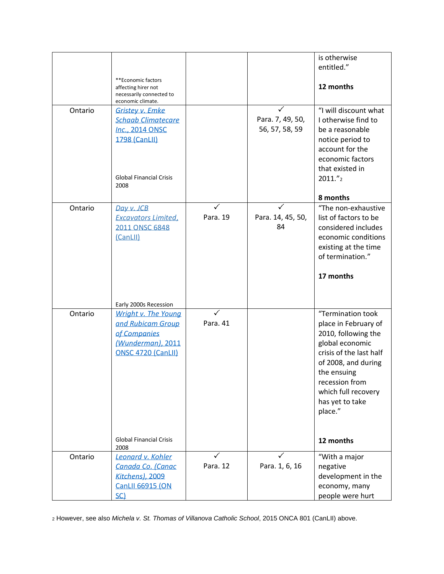|         |                                                                                                                                       |               |                                    | is otherwise<br>entitled."                                                                                                                                                                                                               |
|---------|---------------------------------------------------------------------------------------------------------------------------------------|---------------|------------------------------------|------------------------------------------------------------------------------------------------------------------------------------------------------------------------------------------------------------------------------------------|
|         | **Economic factors<br>affecting hirer not<br>necessarily connected to<br>economic climate.                                            |               |                                    | 12 months                                                                                                                                                                                                                                |
| Ontario | <b>Gristey v. Emke</b><br><b>Schaab Climatecare</b><br>Inc., 2014 ONSC<br>1798 (CanLII)<br><b>Global Financial Crisis</b><br>2008     |               | Para. 7, 49, 50,<br>56, 57, 58, 59 | "I will discount what<br>I otherwise find to<br>be a reasonable<br>notice period to<br>account for the<br>economic factors<br>that existed in<br>2011."2<br>8 months                                                                     |
| Ontario | Day v. JCB<br><b>Excavators Limited,</b><br>2011 ONSC 6848<br>(CanLII)<br>Early 2000s Recession                                       | ✓<br>Para. 19 | ✓<br>Para. 14, 45, 50,<br>84       | "The non-exhaustive<br>list of factors to be<br>considered includes<br>economic conditions<br>existing at the time<br>of termination."<br>17 months                                                                                      |
| Ontario | Wright v. The Young<br>and Rubicam Group<br>of Companies<br>(Wunderman), 2011<br>ONSC 4720 (CanLII)<br><b>Global Financial Crisis</b> | Para. 41      |                                    | "Termination took<br>place in February of<br>2010, following the<br>global economic<br>crisis of the last half<br>of 2008, and during<br>the ensuing<br>recession from<br>which full recovery<br>has yet to take<br>place."<br>12 months |
| Ontario | 2008<br>Leonard v. Kohler<br>Canada Co. (Canac<br>Kitchens), 2009<br><b>CanLII 66915 (ON</b><br>SC)                                   | ✓<br>Para. 12 | Para. 1, 6, 16                     | "With a major<br>negative<br>development in the<br>economy, many<br>people were hurt                                                                                                                                                     |

<sup>2</sup> However, see also *Michela v. St. Thomas of Villanova Catholic School*, 2015 ONCA 801 (CanLII) above.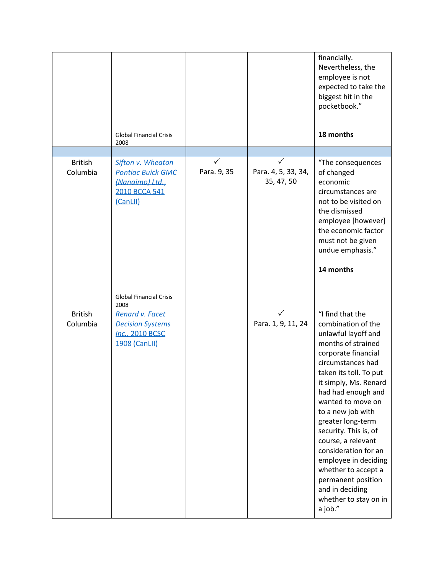|                            | <b>Global Financial Crisis</b><br>2008                                                        |             |                                   | financially.<br>Nevertheless, the<br>employee is not<br>expected to take the<br>biggest hit in the<br>pocketbook."<br>18 months                                                                                                                                                                                                                                                                                                                                            |
|----------------------------|-----------------------------------------------------------------------------------------------|-------------|-----------------------------------|----------------------------------------------------------------------------------------------------------------------------------------------------------------------------------------------------------------------------------------------------------------------------------------------------------------------------------------------------------------------------------------------------------------------------------------------------------------------------|
|                            |                                                                                               |             |                                   |                                                                                                                                                                                                                                                                                                                                                                                                                                                                            |
| <b>British</b><br>Columbia | Sifton v. Wheaton<br><b>Pontiac Buick GMC</b><br>(Nanaimo) Ltd.,<br>2010 BCCA 541<br>(CanLII) | Para. 9, 35 | Para. 4, 5, 33, 34,<br>35, 47, 50 | "The consequences<br>of changed<br>economic<br>circumstances are<br>not to be visited on<br>the dismissed<br>employee [however]<br>the economic factor<br>must not be given<br>undue emphasis."<br>14 months                                                                                                                                                                                                                                                               |
|                            | <b>Global Financial Crisis</b><br>2008                                                        |             |                                   |                                                                                                                                                                                                                                                                                                                                                                                                                                                                            |
| <b>British</b><br>Columbia | Renard v. Facet<br><b>Decision Systems</b><br>Inc., 2010 BCSC<br><b>1908 (CanLII)</b>         |             | Para. 1, 9, 11, 24                | "I find that the<br>combination of the<br>unlawful layoff and<br>months of strained<br>corporate financial<br>circumstances had<br>taken its toll. To put<br>it simply, Ms. Renard<br>had had enough and<br>wanted to move on<br>to a new job with<br>greater long-term<br>security. This is, of<br>course, a relevant<br>consideration for an<br>employee in deciding<br>whether to accept a<br>permanent position<br>and in deciding<br>whether to stay on in<br>a job." |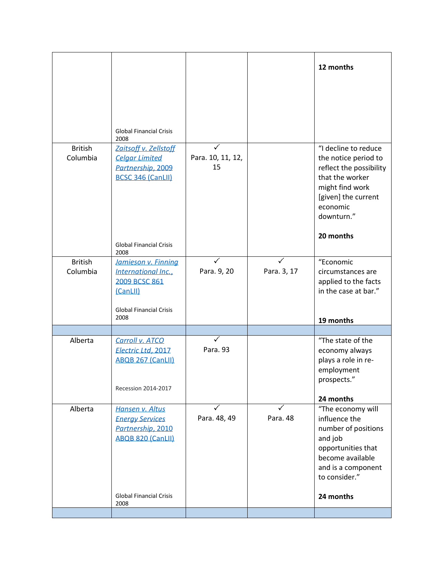| <b>British</b><br>Columbia | <b>Global Financial Crisis</b><br>2008<br>Zaitsoff v. Zellstoff<br><b>Celgar Limited</b><br>Partnership, 2009<br><b>BCSC 346 (CanLII)</b><br><b>Global Financial Crisis</b> | Para. 10, 11, 12,<br>15 |               | 12 months<br>"I decline to reduce<br>the notice period to<br>reflect the possibility<br>that the worker<br>might find work<br>[given] the current<br>economic<br>downturn."<br>20 months |
|----------------------------|-----------------------------------------------------------------------------------------------------------------------------------------------------------------------------|-------------------------|---------------|------------------------------------------------------------------------------------------------------------------------------------------------------------------------------------------|
| <b>British</b><br>Columbia | 2008<br>Jamieson v. Finning<br>International Inc.,<br>2009 BCSC 861<br>(CanLII)<br><b>Global Financial Crisis</b><br>2008                                                   | Para. 9, 20             | Para. 3, 17   | "Economic<br>circumstances are<br>applied to the facts<br>in the case at bar."<br>19 months                                                                                              |
|                            |                                                                                                                                                                             |                         |               |                                                                                                                                                                                          |
| Alberta                    | Carroll v. ATCO<br>Electric Ltd, 2017<br>ABQB 267 (CanLII)<br>Recession 2014-2017                                                                                           | Para. 93                |               | "The state of the<br>economy always<br>plays a role in re-<br>employment<br>prospects."<br>24 months                                                                                     |
| Alberta                    | Hansen v. Altus<br><b>Energy Services</b><br>Partnership, 2010<br>ABQB 820 (CanLII)<br><b>Global Financial Crisis</b><br>2008                                               | Para. 48, 49            | ✓<br>Para. 48 | "The economy will<br>influence the<br>number of positions<br>and job<br>opportunities that<br>become available<br>and is a component<br>to consider."<br>24 months                       |